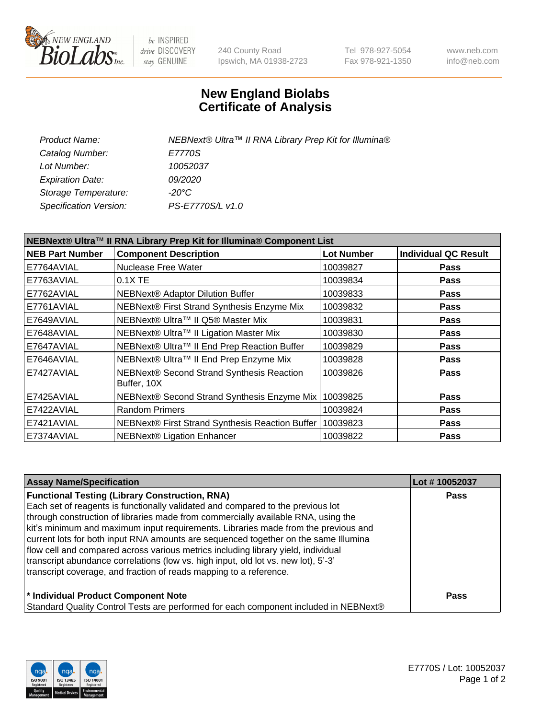

be INSPIRED drive DISCOVERY stay GENUINE

240 County Road Ipswich, MA 01938-2723 Tel 978-927-5054 Fax 978-921-1350 www.neb.com info@neb.com

## **New England Biolabs Certificate of Analysis**

| Product Name:                              | NEBNext® Ultra™ II RNA Library Prep Kit for Illumina® |
|--------------------------------------------|-------------------------------------------------------|
| Catalog Number:<br>E7770S                  |                                                       |
| Lot Number:<br>10052037                    |                                                       |
| <b>Expiration Date:</b><br><i>09/2020</i>  |                                                       |
| -20°C<br>Storage Temperature:              |                                                       |
| PS-E7770S/L v1.0<br>Specification Version: |                                                       |
|                                            |                                                       |

| NEBNext® Ultra™ II RNA Library Prep Kit for Illumina® Component List |                                                          |                   |                             |  |
|----------------------------------------------------------------------|----------------------------------------------------------|-------------------|-----------------------------|--|
| <b>NEB Part Number</b>                                               | <b>Component Description</b>                             | <b>Lot Number</b> | <b>Individual QC Result</b> |  |
| E7764AVIAL                                                           | Nuclease Free Water                                      | 10039827          | <b>Pass</b>                 |  |
| E7763AVIAL                                                           | $0.1X$ TE                                                | 10039834          | <b>Pass</b>                 |  |
| E7762AVIAL                                                           | <b>NEBNext® Adaptor Dilution Buffer</b>                  | 10039833          | <b>Pass</b>                 |  |
| E7761AVIAL                                                           | NEBNext® First Strand Synthesis Enzyme Mix               | 10039832          | Pass                        |  |
| E7649AVIAL                                                           | NEBNext® Ultra™ II Q5® Master Mix                        | 10039831          | <b>Pass</b>                 |  |
| E7648AVIAL                                                           | NEBNext® Ultra™ II Ligation Master Mix                   | 10039830          | <b>Pass</b>                 |  |
| E7647AVIAL                                                           | NEBNext® Ultra™ II End Prep Reaction Buffer              | 10039829          | <b>Pass</b>                 |  |
| E7646AVIAL                                                           | NEBNext® Ultra™ II End Prep Enzyme Mix                   | 10039828          | <b>Pass</b>                 |  |
| E7427AVIAL                                                           | NEBNext® Second Strand Synthesis Reaction<br>Buffer, 10X | 10039826          | <b>Pass</b>                 |  |
| E7425AVIAL                                                           | NEBNext® Second Strand Synthesis Enzyme Mix              | 10039825          | <b>Pass</b>                 |  |
| E7422AVIAL                                                           | <b>Random Primers</b>                                    | 10039824          | <b>Pass</b>                 |  |
| E7421AVIAL                                                           | NEBNext® First Strand Synthesis Reaction Buffer          | 10039823          | <b>Pass</b>                 |  |
| E7374AVIAL                                                           | <b>NEBNext® Ligation Enhancer</b>                        | 10039822          | <b>Pass</b>                 |  |

| <b>Assay Name/Specification</b>                                                      | Lot #10052037 |
|--------------------------------------------------------------------------------------|---------------|
| <b>Functional Testing (Library Construction, RNA)</b>                                | <b>Pass</b>   |
| Each set of reagents is functionally validated and compared to the previous lot      |               |
| through construction of libraries made from commercially available RNA, using the    |               |
| kit's minimum and maximum input requirements. Libraries made from the previous and   |               |
| current lots for both input RNA amounts are sequenced together on the same Illumina  |               |
| flow cell and compared across various metrics including library yield, individual    |               |
| transcript abundance correlations (low vs. high input, old lot vs. new lot), 5'-3'   |               |
| transcript coverage, and fraction of reads mapping to a reference.                   |               |
| * Individual Product Component Note                                                  | <b>Pass</b>   |
| Standard Quality Control Tests are performed for each component included in NEBNext® |               |